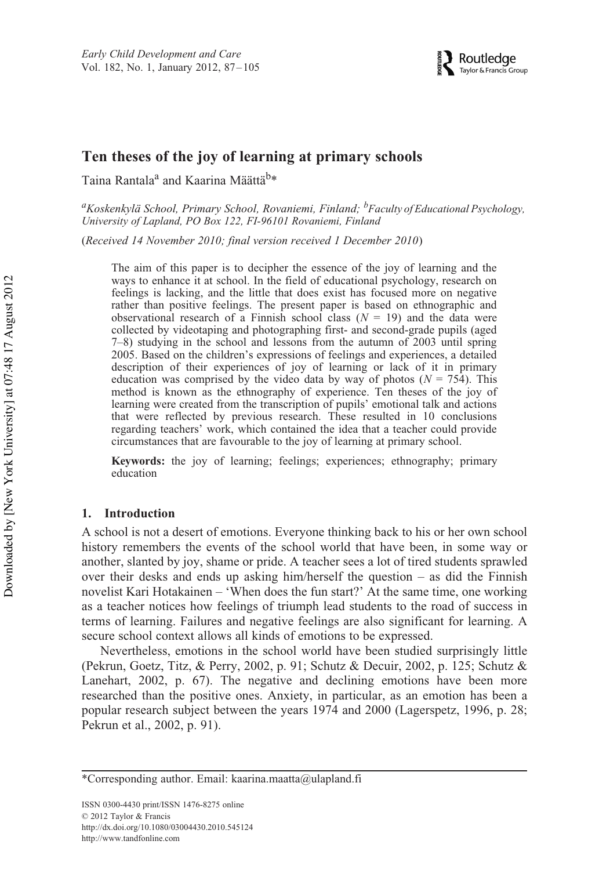# **Ten theses of the joy of learning at primary schools**

Taina Rantala<sup>a</sup> and Kaarina Määttä<sup>b</sup>\*

*a Koskenkylä School, Primary School, Rovaniemi, Finland; <sup>b</sup> Faculty of Educational Psychology, University of Lapland, PO Box 122, FI-96101 Rovaniemi, Finland*

(Received 14 November 2010; final version received 1 December 2010)

The aim of this paper is to decipher the essence of the joy of learning and the ways to enhance it at school. In the field of educational psychology, research on feelings is lacking, and the little that does exist has focused more on negative rather than positive feelings. The present paper is based on ethnographic and observational research of a Finnish school class  $(N = 19)$  and the data were collected by videotaping and photographing first- and second-grade pupils (aged 7–8) studying in the school and lessons from the autumn of 2003 until spring 2005. Based on the children's expressions of feelings and experiences, a detailed description of their experiences of joy of learning or lack of it in primary education was comprised by the video data by way of photos ( $N = 754$ ). This method is known as the ethnography of experience. Ten theses of the joy of learning were created from the transcription of pupils' emotional talk and actions that were reflected by previous research. These resulted in 10 conclusions regarding teachers' work, which contained the idea that a teacher could provide circumstances that are favourable to the joy of learning at primary school.

**Keywords:** the joy of learning; feelings; experiences; ethnography; primary education

# **1. Introduction**

A school is not a desert of emotions. Everyone thinking back to his or her own school history remembers the events of the school world that have been, in some way or another, slanted by joy, shame or pride. A teacher sees a lot of tired students sprawled over their desks and ends up asking him/herself the question – as did the Finnish novelist Kari Hotakainen – 'When does the fun start?' At the same time, one working as a teacher notices how feelings of triumph lead students to the road of success in terms of learning. Failures and negative feelings are also significant for learning. A secure school context allows all kinds of emotions to be expressed.

Nevertheless, emotions in the school world have been studied surprisingly little (Pekrun, Goetz, Titz, & Perry, 2002, p. 91; Schutz & Decuir, 2002, p. 125; Schutz & Lanehart, 2002, p. 67). The negative and declining emotions have been more researched than the positive ones. Anxiety, in particular, as an emotion has been a popular research subject between the years 1974 and 2000 (Lagerspetz, 1996, p. 28; Pekrun et al., 2002, p. 91).

<sup>\*</sup>Corresponding author. Email: kaarina.maatta@ulapland.fi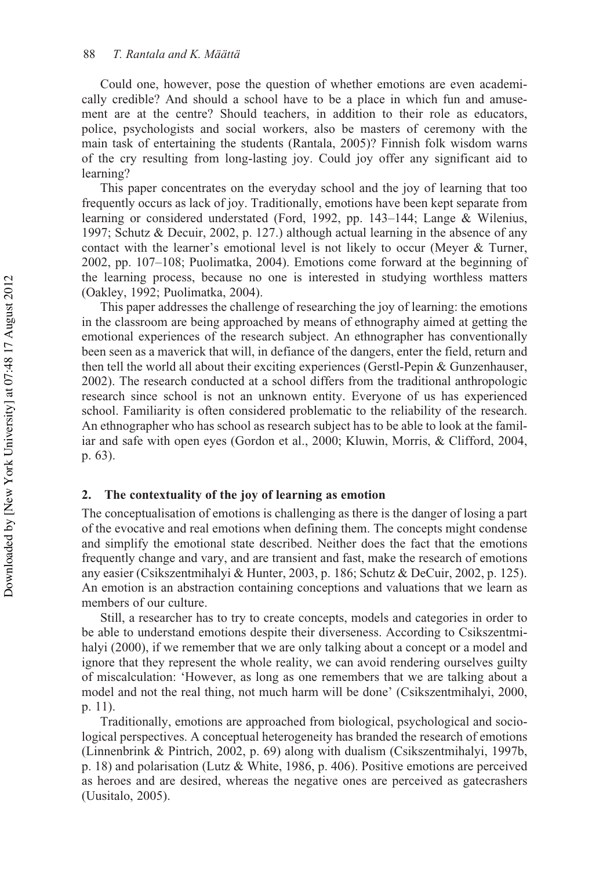Could one, however, pose the question of whether emotions are even academically credible? And should a school have to be a place in which fun and amusement are at the centre? Should teachers, in addition to their role as educators, police, psychologists and social workers, also be masters of ceremony with the main task of entertaining the students (Rantala, 2005)? Finnish folk wisdom warns of the cry resulting from long-lasting joy. Could joy offer any significant aid to learning?

This paper concentrates on the everyday school and the joy of learning that too frequently occurs as lack of joy. Traditionally, emotions have been kept separate from learning or considered understated (Ford, 1992, pp. 143–144; Lange & Wilenius, 1997; Schutz & Decuir, 2002, p. 127.) although actual learning in the absence of any contact with the learner's emotional level is not likely to occur (Meyer & Turner, 2002, pp. 107–108; Puolimatka, 2004). Emotions come forward at the beginning of the learning process, because no one is interested in studying worthless matters (Oakley, 1992; Puolimatka, 2004).

This paper addresses the challenge of researching the joy of learning: the emotions in the classroom are being approached by means of ethnography aimed at getting the emotional experiences of the research subject. An ethnographer has conventionally been seen as a maverick that will, in defiance of the dangers, enter the field, return and then tell the world all about their exciting experiences (Gerstl-Pepin & Gunzenhauser, 2002). The research conducted at a school differs from the traditional anthropologic research since school is not an unknown entity. Everyone of us has experienced school. Familiarity is often considered problematic to the reliability of the research. An ethnographer who has school as research subject has to be able to look at the familiar and safe with open eyes (Gordon et al., 2000; Kluwin, Morris, & Clifford, 2004, p. 63).

# **2. The contextuality of the joy of learning as emotion**

The conceptualisation of emotions is challenging as there is the danger of losing a part of the evocative and real emotions when defining them. The concepts might condense and simplify the emotional state described. Neither does the fact that the emotions frequently change and vary, and are transient and fast, make the research of emotions any easier (Csikszentmihalyi & Hunter, 2003, p. 186; Schutz & DeCuir, 2002, p. 125). An emotion is an abstraction containing conceptions and valuations that we learn as members of our culture.

Still, a researcher has to try to create concepts, models and categories in order to be able to understand emotions despite their diverseness. According to Csikszentmihalyi (2000), if we remember that we are only talking about a concept or a model and ignore that they represent the whole reality, we can avoid rendering ourselves guilty of miscalculation: 'However, as long as one remembers that we are talking about a model and not the real thing, not much harm will be done' (Csikszentmihalyi, 2000, p. 11).

Traditionally, emotions are approached from biological, psychological and sociological perspectives. A conceptual heterogeneity has branded the research of emotions (Linnenbrink & Pintrich, 2002, p. 69) along with dualism (Csikszentmihalyi, 1997b, p. 18) and polarisation (Lutz & White, 1986, p. 406). Positive emotions are perceived as heroes and are desired, whereas the negative ones are perceived as gatecrashers (Uusitalo, 2005).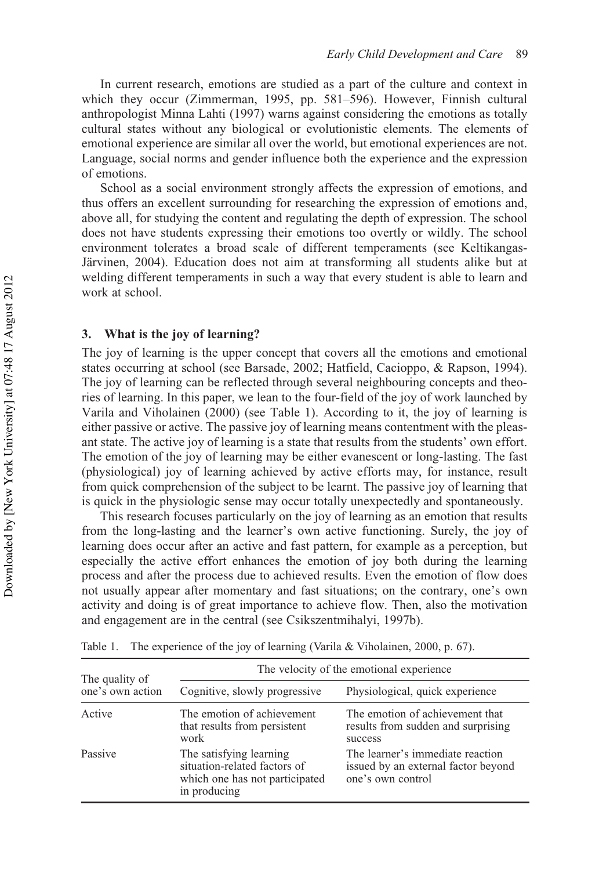In current research, emotions are studied as a part of the culture and context in which they occur (Zimmerman, 1995, pp. 581–596). However, Finnish cultural anthropologist Minna Lahti (1997) warns against considering the emotions as totally cultural states without any biological or evolutionistic elements. The elements of emotional experience are similar all over the world, but emotional experiences are not. Language, social norms and gender influence both the experience and the expression of emotions.

School as a social environment strongly affects the expression of emotions, and thus offers an excellent surrounding for researching the expression of emotions and, above all, for studying the content and regulating the depth of expression. The school does not have students expressing their emotions too overtly or wildly. The school environment tolerates a broad scale of different temperaments (see Keltikangas-Järvinen, 2004). Education does not aim at transforming all students alike but at welding different temperaments in such a way that every student is able to learn and work at school.

# **3. What is the joy of learning?**

The joy of learning is the upper concept that covers all the emotions and emotional states occurring at school (see Barsade, 2002; Hatfield, Cacioppo, & Rapson, 1994). The joy of learning can be reflected through several neighbouring concepts and theories of learning. In this paper, we lean to the four-field of the joy of work launched by Varila and Viholainen (2000) (see Table 1). According to it, the joy of learning is either passive or active. The passive joy of learning means contentment with the pleasant state. The active joy of learning is a state that results from the students' own effort. The emotion of the joy of learning may be either evanescent or long-lasting. The fast (physiological) joy of learning achieved by active efforts may, for instance, result from quick comprehension of the subject to be learnt. The passive joy of learning that is quick in the physiologic sense may occur totally unexpectedly and spontaneously.

This research focuses particularly on the joy of learning as an emotion that results from the long-lasting and the learner's own active functioning. Surely, the joy of learning does occur after an active and fast pattern, for example as a perception, but especially the active effort enhances the emotion of joy both during the learning process and after the process due to achieved results. Even the emotion of flow does not usually appear after momentary and fast situations; on the contrary, one's own activity and doing is of great importance to achieve flow. Then, also the motivation and engagement are in the central (see Csikszentmihalyi, 1997b).

| The quality of<br>one's own action | The velocity of the emotional experience                                                                  |                                                                                              |
|------------------------------------|-----------------------------------------------------------------------------------------------------------|----------------------------------------------------------------------------------------------|
|                                    | Cognitive, slowly progressive                                                                             | Physiological, quick experience                                                              |
| Active                             | The emotion of achievement<br>that results from persistent<br>work                                        | The emotion of achievement that<br>results from sudden and surprising<br>success             |
| Passive                            | The satisfying learning<br>situation-related factors of<br>which one has not participated<br>in producing | The learner's immediate reaction<br>issued by an external factor beyond<br>one's own control |

Table 1. The experience of the joy of learning (Varila & Viholainen, 2000, p. 67).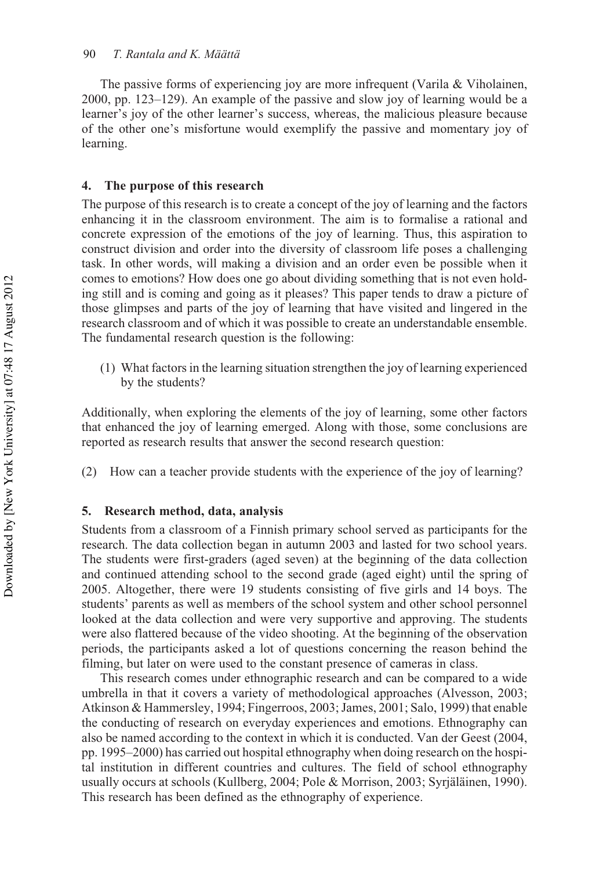The passive forms of experiencing joy are more infrequent (Varila & Viholainen, 2000, pp. 123–129). An example of the passive and slow joy of learning would be a learner's joy of the other learner's success, whereas, the malicious pleasure because of the other one's misfortune would exemplify the passive and momentary joy of learning.

#### **4. The purpose of this research**

The purpose of this research is to create a concept of the joy of learning and the factors enhancing it in the classroom environment. The aim is to formalise a rational and concrete expression of the emotions of the joy of learning. Thus, this aspiration to construct division and order into the diversity of classroom life poses a challenging task. In other words, will making a division and an order even be possible when it comes to emotions? How does one go about dividing something that is not even holding still and is coming and going as it pleases? This paper tends to draw a picture of those glimpses and parts of the joy of learning that have visited and lingered in the research classroom and of which it was possible to create an understandable ensemble. The fundamental research question is the following:

(1) What factors in the learning situation strengthen the joy of learning experienced by the students?

Additionally, when exploring the elements of the joy of learning, some other factors that enhanced the joy of learning emerged. Along with those, some conclusions are reported as research results that answer the second research question:

(2) How can a teacher provide students with the experience of the joy of learning?

#### **5. Research method, data, analysis**

Students from a classroom of a Finnish primary school served as participants for the research. The data collection began in autumn 2003 and lasted for two school years. The students were first-graders (aged seven) at the beginning of the data collection and continued attending school to the second grade (aged eight) until the spring of 2005. Altogether, there were 19 students consisting of five girls and 14 boys. The students' parents as well as members of the school system and other school personnel looked at the data collection and were very supportive and approving. The students were also flattered because of the video shooting. At the beginning of the observation periods, the participants asked a lot of questions concerning the reason behind the filming, but later on were used to the constant presence of cameras in class.

This research comes under ethnographic research and can be compared to a wide umbrella in that it covers a variety of methodological approaches (Alvesson, 2003; Atkinson & Hammersley, 1994; Fingerroos, 2003; James, 2001; Salo, 1999) that enable the conducting of research on everyday experiences and emotions. Ethnography can also be named according to the context in which it is conducted. Van der Geest (2004, pp. 1995–2000) has carried out hospital ethnography when doing research on the hospital institution in different countries and cultures. The field of school ethnography usually occurs at schools (Kullberg, 2004; Pole & Morrison, 2003; Syrjäläinen, 1990). This research has been defined as the ethnography of experience.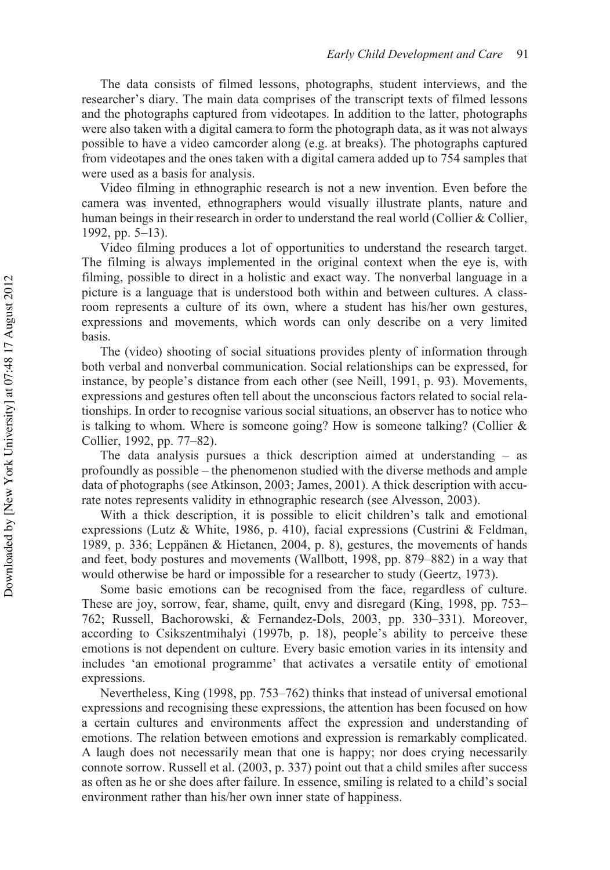The data consists of filmed lessons, photographs, student interviews, and the researcher's diary. The main data comprises of the transcript texts of filmed lessons and the photographs captured from videotapes. In addition to the latter, photographs were also taken with a digital camera to form the photograph data, as it was not always possible to have a video camcorder along (e.g. at breaks). The photographs captured from videotapes and the ones taken with a digital camera added up to 754 samples that were used as a basis for analysis.

Video filming in ethnographic research is not a new invention. Even before the camera was invented, ethnographers would visually illustrate plants, nature and human beings in their research in order to understand the real world (Collier & Collier, 1992, pp. 5–13).

Video filming produces a lot of opportunities to understand the research target. The filming is always implemented in the original context when the eye is, with filming, possible to direct in a holistic and exact way. The nonverbal language in a picture is a language that is understood both within and between cultures. A classroom represents a culture of its own, where a student has his/her own gestures, expressions and movements, which words can only describe on a very limited basis.

The (video) shooting of social situations provides plenty of information through both verbal and nonverbal communication. Social relationships can be expressed, for instance, by people's distance from each other (see Neill, 1991, p. 93). Movements, expressions and gestures often tell about the unconscious factors related to social relationships. In order to recognise various social situations, an observer has to notice who is talking to whom. Where is someone going? How is someone talking? (Collier & Collier, 1992, pp. 77–82).

The data analysis pursues a thick description aimed at understanding – as profoundly as possible – the phenomenon studied with the diverse methods and ample data of photographs (see Atkinson, 2003; James, 2001). A thick description with accurate notes represents validity in ethnographic research (see Alvesson, 2003).

With a thick description, it is possible to elicit children's talk and emotional expressions (Lutz & White, 1986, p. 410), facial expressions (Custrini & Feldman, 1989, p. 336; Leppänen & Hietanen, 2004, p. 8), gestures, the movements of hands and feet, body postures and movements (Wallbott, 1998, pp. 879–882) in a way that would otherwise be hard or impossible for a researcher to study (Geertz, 1973).

Some basic emotions can be recognised from the face, regardless of culture. These are joy, sorrow, fear, shame, quilt, envy and disregard (King, 1998, pp. 753– 762; Russell, Bachorowski, & Fernandez-Dols, 2003, pp. 330–331). Moreover, according to Csikszentmihalyi (1997b, p. 18), people's ability to perceive these emotions is not dependent on culture. Every basic emotion varies in its intensity and includes 'an emotional programme' that activates a versatile entity of emotional expressions.

Nevertheless, King (1998, pp. 753–762) thinks that instead of universal emotional expressions and recognising these expressions, the attention has been focused on how a certain cultures and environments affect the expression and understanding of emotions. The relation between emotions and expression is remarkably complicated. A laugh does not necessarily mean that one is happy; nor does crying necessarily connote sorrow. Russell et al. (2003, p. 337) point out that a child smiles after success as often as he or she does after failure. In essence, smiling is related to a child's social environment rather than his/her own inner state of happiness.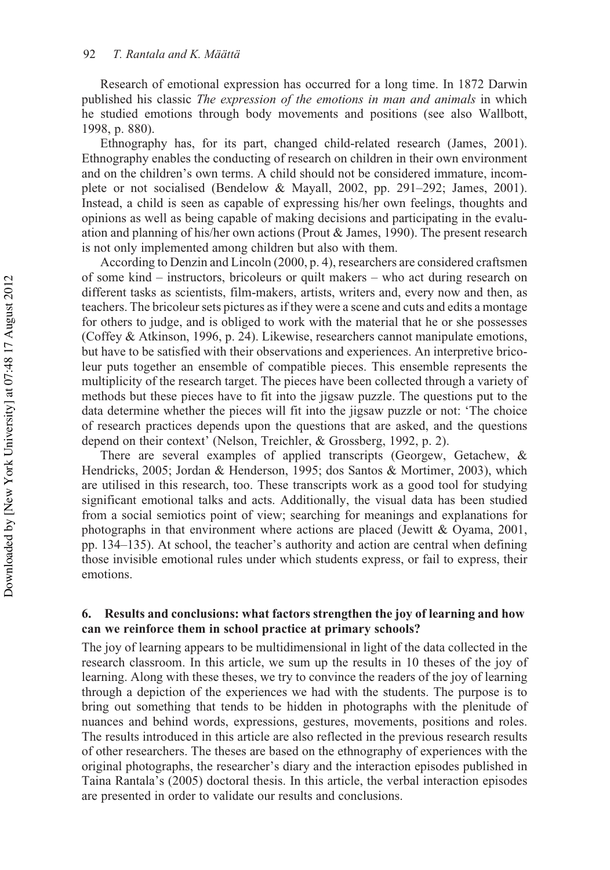Research of emotional expression has occurred for a long time. In 1872 Darwin published his classic *The expression of the emotions in man and animals* in which he studied emotions through body movements and positions (see also Wallbott, 1998, p. 880).

Ethnography has, for its part, changed child-related research (James, 2001). Ethnography enables the conducting of research on children in their own environment and on the children's own terms. A child should not be considered immature, incomplete or not socialised (Bendelow & Mayall, 2002, pp. 291–292; James, 2001). Instead, a child is seen as capable of expressing his/her own feelings, thoughts and opinions as well as being capable of making decisions and participating in the evaluation and planning of his/her own actions (Prout & James, 1990). The present research is not only implemented among children but also with them.

According to Denzin and Lincoln (2000, p. 4), researchers are considered craftsmen of some kind – instructors, bricoleurs or quilt makers – who act during research on different tasks as scientists, film-makers, artists, writers and, every now and then, as teachers. The bricoleur sets pictures as if they were a scene and cuts and edits a montage for others to judge, and is obliged to work with the material that he or she possesses (Coffey & Atkinson, 1996, p. 24). Likewise, researchers cannot manipulate emotions, but have to be satisfied with their observations and experiences. An interpretive bricoleur puts together an ensemble of compatible pieces. This ensemble represents the multiplicity of the research target. The pieces have been collected through a variety of methods but these pieces have to fit into the jigsaw puzzle. The questions put to the data determine whether the pieces will fit into the jigsaw puzzle or not: 'The choice of research practices depends upon the questions that are asked, and the questions depend on their context' (Nelson, Treichler, & Grossberg, 1992, p. 2).

There are several examples of applied transcripts (Georgew, Getachew, & Hendricks, 2005; Jordan & Henderson, 1995; dos Santos & Mortimer, 2003), which are utilised in this research, too. These transcripts work as a good tool for studying significant emotional talks and acts. Additionally, the visual data has been studied from a social semiotics point of view; searching for meanings and explanations for photographs in that environment where actions are placed (Jewitt & Oyama, 2001, pp. 134–135). At school, the teacher's authority and action are central when defining those invisible emotional rules under which students express, or fail to express, their emotions.

# **6. Results and conclusions: what factors strengthen the joy of learning and how can we reinforce them in school practice at primary schools?**

The joy of learning appears to be multidimensional in light of the data collected in the research classroom. In this article, we sum up the results in 10 theses of the joy of learning. Along with these theses, we try to convince the readers of the joy of learning through a depiction of the experiences we had with the students. The purpose is to bring out something that tends to be hidden in photographs with the plenitude of nuances and behind words, expressions, gestures, movements, positions and roles. The results introduced in this article are also reflected in the previous research results of other researchers. The theses are based on the ethnography of experiences with the original photographs, the researcher's diary and the interaction episodes published in Taina Rantala's (2005) doctoral thesis. In this article, the verbal interaction episodes are presented in order to validate our results and conclusions.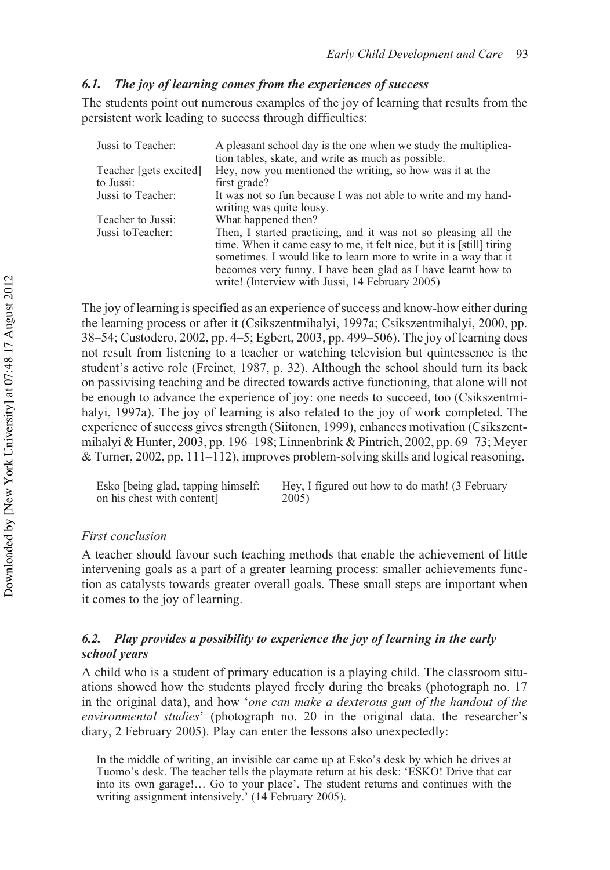# *6.1. The joy of learning comes from the experiences of success*

The students point out numerous examples of the joy of learning that results from the persistent work leading to success through difficulties:

| Jussi to Teacher:      | A pleasant school day is the one when we study the multiplica-        |
|------------------------|-----------------------------------------------------------------------|
|                        | tion tables, skate, and write as much as possible.                    |
| Teacher [gets excited] | Hey, now you mentioned the writing, so how was it at the              |
| to Jussi:              | first grade?                                                          |
| Jussi to Teacher:      | It was not so fun because I was not able to write and my hand-        |
|                        | writing was quite lousy.                                              |
| Teacher to Jussi:      | What happened then?                                                   |
| Jussi to Teacher:      | Then, I started practicing, and it was not so pleasing all the        |
|                        | time. When it came easy to me, it felt nice, but it is [still] tiring |
|                        | sometimes. I would like to learn more to write in a way that it       |
|                        | becomes very funny. I have been glad as I have learnt how to          |
|                        | write! (Interview with Jussi, 14 February 2005)                       |

The joy of learning is specified as an experience of success and know-how either during the learning process or after it (Csikszentmihalyi, 1997a; Csikszentmihalyi, 2000, pp. 38–54; Custodero, 2002, pp. 4–5; Egbert, 2003, pp. 499–506). The joy of learning does not result from listening to a teacher or watching television but quintessence is the student's active role (Freinet, 1987, p. 32). Although the school should turn its back on passivising teaching and be directed towards active functioning, that alone will not be enough to advance the experience of joy: one needs to succeed, too (Csikszentmihalyi, 1997a). The joy of learning is also related to the joy of work completed. The experience of success gives strength (Siitonen, 1999), enhances motivation (Csikszentmihalyi & Hunter, 2003, pp. 196–198; Linnenbrink & Pintrich, 2002, pp. 69–73; Meyer & Turner, 2002, pp. 111–112), improves problem-solving skills and logical reasoning.

| Esko [being glad, tapping himself: | Hey, I figured out how to do math! (3 February |
|------------------------------------|------------------------------------------------|
| on his chest with content]         | 2005)                                          |

### *First conclusion*

A teacher should favour such teaching methods that enable the achievement of little intervening goals as a part of a greater learning process: smaller achievements function as catalysts towards greater overall goals. These small steps are important when it comes to the joy of learning.

# *6.2. Play provides a possibility to experience the joy of learning in the early school years*

A child who is a student of primary education is a playing child. The classroom situations showed how the students played freely during the breaks (photograph no. 17 in the original data), and how '*one can make a dexterous gun of the handout of the environmental studies*' (photograph no. 20 in the original data, the researcher's diary, 2 February 2005). Play can enter the lessons also unexpectedly:

In the middle of writing, an invisible car came up at Esko's desk by which he drives at Tuomo's desk. The teacher tells the playmate return at his desk: 'ESKO! Drive that car into its own garage!… Go to your place'. The student returns and continues with the writing assignment intensively.' (14 February 2005).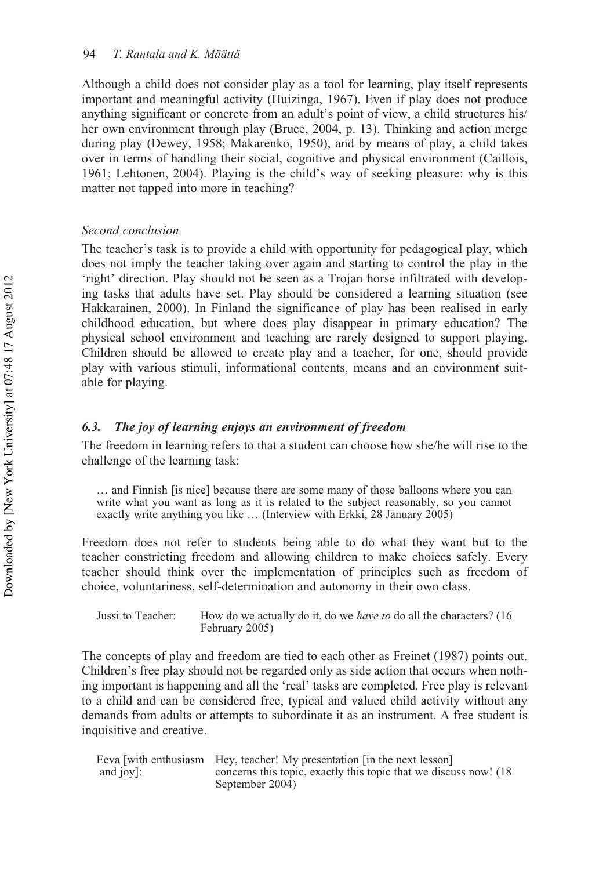Although a child does not consider play as a tool for learning, play itself represents important and meaningful activity (Huizinga, 1967). Even if play does not produce anything significant or concrete from an adult's point of view, a child structures his/ her own environment through play (Bruce, 2004, p. 13). Thinking and action merge during play (Dewey, 1958; Makarenko, 1950), and by means of play, a child takes over in terms of handling their social, cognitive and physical environment (Caillois, 1961; Lehtonen, 2004). Playing is the child's way of seeking pleasure: why is this matter not tapped into more in teaching?

#### *Second conclusion*

The teacher's task is to provide a child with opportunity for pedagogical play, which does not imply the teacher taking over again and starting to control the play in the 'right' direction. Play should not be seen as a Trojan horse infiltrated with developing tasks that adults have set. Play should be considered a learning situation (see Hakkarainen, 2000). In Finland the significance of play has been realised in early childhood education, but where does play disappear in primary education? The physical school environment and teaching are rarely designed to support playing. Children should be allowed to create play and a teacher, for one, should provide play with various stimuli, informational contents, means and an environment suitable for playing.

## *6.3. The joy of learning enjoys an environment of freedom*

The freedom in learning refers to that a student can choose how she/he will rise to the challenge of the learning task:

… and Finnish [is nice] because there are some many of those balloons where you can write what you want as long as it is related to the subject reasonably, so you cannot exactly write anything you like … (Interview with Erkki, 28 January 2005)

Freedom does not refer to students being able to do what they want but to the teacher constricting freedom and allowing children to make choices safely. Every teacher should think over the implementation of principles such as freedom of choice, voluntariness, self-determination and autonomy in their own class.

Jussi to Teacher: How do we actually do it, do we *have to* do all the characters? (16 February 2005)

The concepts of play and freedom are tied to each other as Freinet (1987) points out. Children's free play should not be regarded only as side action that occurs when nothing important is happening and all the 'real' tasks are completed. Free play is relevant to a child and can be considered free, typical and valued child activity without any demands from adults or attempts to subordinate it as an instrument. A free student is inquisitive and creative.

Eeva [with enthusiasm Hey, teacher! My presentation [in the next lesson] and joy]: concerns this topic, exactly this topic that we discuss now! (18 September 2004)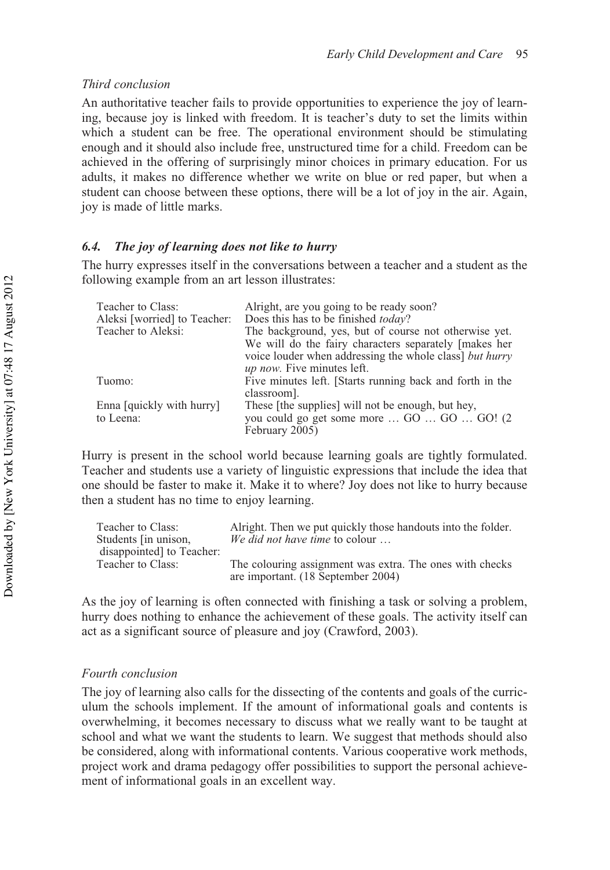# *Third conclusion*

An authoritative teacher fails to provide opportunities to experience the joy of learning, because joy is linked with freedom. It is teacher's duty to set the limits within which a student can be free. The operational environment should be stimulating enough and it should also include free, unstructured time for a child. Freedom can be achieved in the offering of surprisingly minor choices in primary education. For us adults, it makes no difference whether we write on blue or red paper, but when a student can choose between these options, there will be a lot of joy in the air. Again, joy is made of little marks.

#### *6.4. The joy of learning does not like to hurry*

The hurry expresses itself in the conversations between a teacher and a student as the following example from an art lesson illustrates:

| Teacher to Class:            | Alright, are you going to be ready soon?                                                    |
|------------------------------|---------------------------------------------------------------------------------------------|
| Aleksi [worried] to Teacher: | Does this has to be finished <i>today</i> ?                                                 |
| Teacher to Aleksi:           | The background, yes, but of course not otherwise yet.                                       |
|                              | We will do the fairy characters separately [makes her                                       |
|                              | voice louder when addressing the whole class but hurry<br><i>up now.</i> Five minutes left. |
| Tuomo:                       | Five minutes left. [Starts running back and forth in the<br>classroom].                     |
| Enna [quick] with hurry]     | These [the supplies] will not be enough, but hey,                                           |
| to Leena:                    | you could go get some more  GO  GO  GO! (2)                                                 |
|                              | February 2005)                                                                              |

Hurry is present in the school world because learning goals are tightly formulated. Teacher and students use a variety of linguistic expressions that include the idea that one should be faster to make it. Make it to where? Joy does not like to hurry because then a student has no time to enjoy learning.

| Teacher to Class:        | Alright. Then we put quickly those handouts into the folder. |
|--------------------------|--------------------------------------------------------------|
| Students [in unison,     | We did not have time to colour                               |
| disappointed to Teacher: |                                                              |
| Teacher to Class:        | The colouring assignment was extra. The ones with checks     |
|                          | are important. (18 September 2004)                           |

As the joy of learning is often connected with finishing a task or solving a problem, hurry does nothing to enhance the achievement of these goals. The activity itself can act as a significant source of pleasure and joy (Crawford, 2003).

#### *Fourth conclusion*

The joy of learning also calls for the dissecting of the contents and goals of the curriculum the schools implement. If the amount of informational goals and contents is overwhelming, it becomes necessary to discuss what we really want to be taught at school and what we want the students to learn. We suggest that methods should also be considered, along with informational contents. Various cooperative work methods, project work and drama pedagogy offer possibilities to support the personal achievement of informational goals in an excellent way.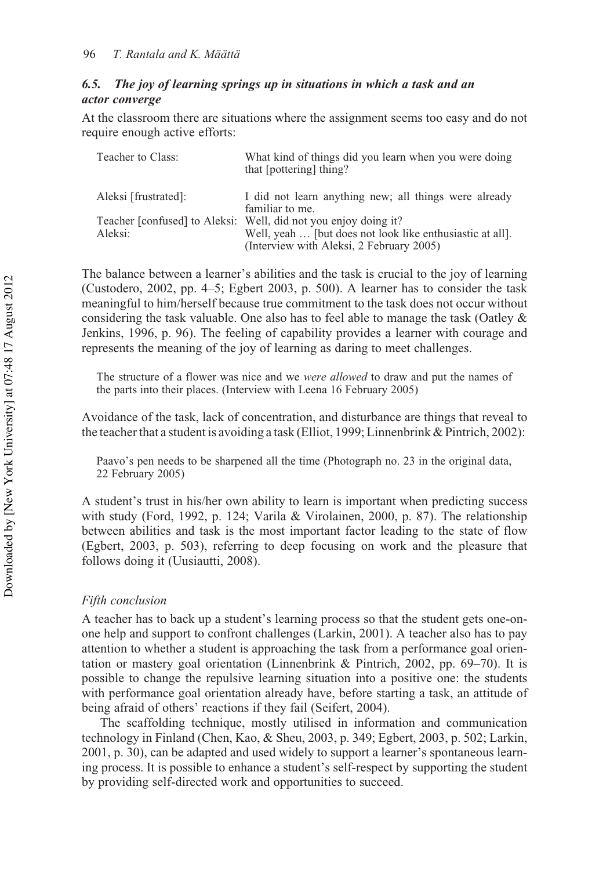# *6.5. The joy of learning springs up in situations in which a task and an actor converge*

At the classroom there are situations where the assignment seems too easy and do not require enough active efforts:

| Teacher to Class:    | What kind of things did you learn when you were doing<br>that [pottering] thing? |
|----------------------|----------------------------------------------------------------------------------|
| Aleksi [frustrated]: | I did not learn anything new; all things were already<br>familiar to me.         |
|                      | Teacher [confused] to Aleksi: Well, did not you enjoy doing it?                  |
| Aleksi:              | Well, yeah  [but does not look like enthusiastic at all].                        |
|                      | (Interview with Aleksi, 2 February 2005)                                         |

The balance between a learner's abilities and the task is crucial to the joy of learning (Custodero, 2002, pp. 4–5; Egbert 2003, p. 500). A learner has to consider the task meaningful to him/herself because true commitment to the task does not occur without considering the task valuable. One also has to feel able to manage the task (Oatley & Jenkins, 1996, p. 96). The feeling of capability provides a learner with courage and represents the meaning of the joy of learning as daring to meet challenges.

The structure of a flower was nice and we *were allowed* to draw and put the names of the parts into their places. (Interview with Leena 16 February 2005)

Avoidance of the task, lack of concentration, and disturbance are things that reveal to the teacher that a student is avoiding a task (Elliot, 1999; Linnenbrink & Pintrich, 2002):

Paavo's pen needs to be sharpened all the time (Photograph no. 23 in the original data, 22 February 2005)

A student's trust in his/her own ability to learn is important when predicting success with study (Ford, 1992, p. 124; Varila & Virolainen, 2000, p. 87). The relationship between abilities and task is the most important factor leading to the state of flow (Egbert, 2003, p. 503), referring to deep focusing on work and the pleasure that follows doing it (Uusiautti, 2008).

#### *Fifth conclusion*

A teacher has to back up a student's learning process so that the student gets one-onone help and support to confront challenges (Larkin, 2001). A teacher also has to pay attention to whether a student is approaching the task from a performance goal orientation or mastery goal orientation (Linnenbrink & Pintrich, 2002, pp. 69–70). It is possible to change the repulsive learning situation into a positive one: the students with performance goal orientation already have, before starting a task, an attitude of being afraid of others' reactions if they fail (Seifert, 2004).

The scaffolding technique, mostly utilised in information and communication technology in Finland (Chen, Kao, & Sheu, 2003, p. 349; Egbert, 2003, p. 502; Larkin, 2001, p. 30), can be adapted and used widely to support a learner's spontaneous learning process. It is possible to enhance a student's self-respect by supporting the student by providing self-directed work and opportunities to succeed.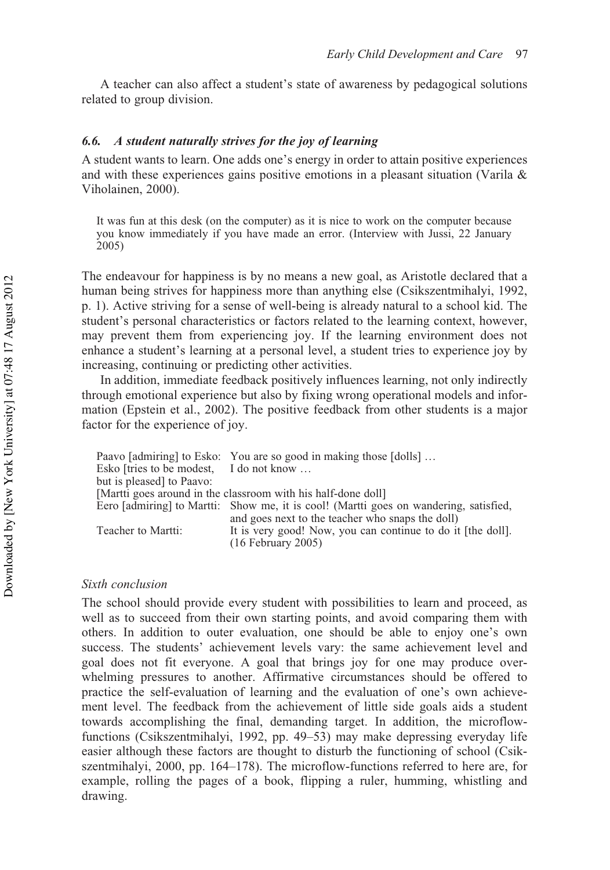A teacher can also affect a student's state of awareness by pedagogical solutions related to group division.

# *6.6. A student naturally strives for the joy of learning*

A student wants to learn. One adds one's energy in order to attain positive experiences and with these experiences gains positive emotions in a pleasant situation (Varila & Viholainen, 2000).

It was fun at this desk (on the computer) as it is nice to work on the computer because you know immediately if you have made an error. (Interview with Jussi, 22 January 2005)

The endeavour for happiness is by no means a new goal, as Aristotle declared that a human being strives for happiness more than anything else (Csikszentmihalyi, 1992, p. 1). Active striving for a sense of well-being is already natural to a school kid. The student's personal characteristics or factors related to the learning context, however, may prevent them from experiencing joy. If the learning environment does not enhance a student's learning at a personal level, a student tries to experience joy by increasing, continuing or predicting other activities.

In addition, immediate feedback positively influences learning, not only indirectly through emotional experience but also by fixing wrong operational models and information (Epstein et al., 2002). The positive feedback from other students is a major factor for the experience of joy.

|                                         | Paavo [admiring] to Esko: You are so good in making those [dolls]                     |
|-----------------------------------------|---------------------------------------------------------------------------------------|
| Esko firies to be modest, I do not know |                                                                                       |
| but is pleased to Paavo:                |                                                                                       |
|                                         | [Martti goes around in the classroom with his half-done doll]                         |
|                                         | Eero [admiring] to Martti: Show me, it is cool! (Martti goes on wandering, satisfied, |
|                                         | and goes next to the teacher who snaps the doll)                                      |
| Teacher to Martti:                      | It is very good! Now, you can continue to do it [the doll].                           |
|                                         | $(16$ February 2005)                                                                  |

## *Sixth conclusion*

The school should provide every student with possibilities to learn and proceed, as well as to succeed from their own starting points, and avoid comparing them with others. In addition to outer evaluation, one should be able to enjoy one's own success. The students' achievement levels vary: the same achievement level and goal does not fit everyone. A goal that brings joy for one may produce overwhelming pressures to another. Affirmative circumstances should be offered to practice the self-evaluation of learning and the evaluation of one's own achievement level. The feedback from the achievement of little side goals aids a student towards accomplishing the final, demanding target. In addition, the microflowfunctions (Csikszentmihalyi, 1992, pp. 49–53) may make depressing everyday life easier although these factors are thought to disturb the functioning of school (Csikszentmihalyi, 2000, pp. 164–178). The microflow-functions referred to here are, for example, rolling the pages of a book, flipping a ruler, humming, whistling and drawing.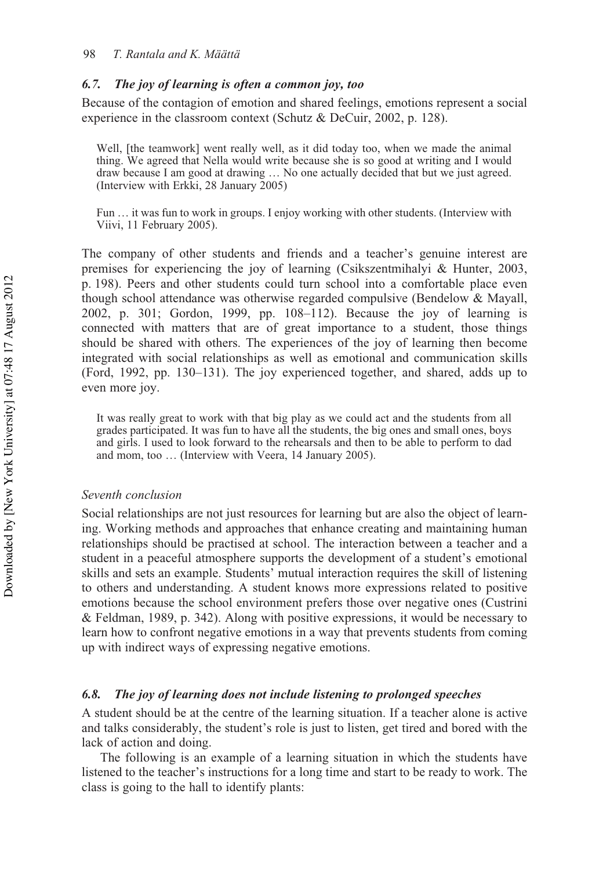#### *6.7. The joy of learning is often a common joy, too*

Because of the contagion of emotion and shared feelings, emotions represent a social experience in the classroom context (Schutz & DeCuir, 2002, p. 128).

Well, [the teamwork] went really well, as it did today too, when we made the animal thing. We agreed that Nella would write because she is so good at writing and I would draw because I am good at drawing … No one actually decided that but we just agreed. (Interview with Erkki, 28 January 2005)

Fun … it was fun to work in groups. I enjoy working with other students. (Interview with Viivi, 11 February 2005).

The company of other students and friends and a teacher's genuine interest are premises for experiencing the joy of learning (Csikszentmihalyi & Hunter, 2003, p. 198). Peers and other students could turn school into a comfortable place even though school attendance was otherwise regarded compulsive (Bendelow & Mayall, 2002, p. 301; Gordon, 1999, pp. 108–112). Because the joy of learning is connected with matters that are of great importance to a student, those things should be shared with others. The experiences of the joy of learning then become integrated with social relationships as well as emotional and communication skills (Ford, 1992, pp. 130–131). The joy experienced together, and shared, adds up to even more joy.

It was really great to work with that big play as we could act and the students from all grades participated. It was fun to have all the students, the big ones and small ones, boys and girls. I used to look forward to the rehearsals and then to be able to perform to dad and mom, too … (Interview with Veera, 14 January 2005).

### *Seventh conclusion*

Social relationships are not just resources for learning but are also the object of learning. Working methods and approaches that enhance creating and maintaining human relationships should be practised at school. The interaction between a teacher and a student in a peaceful atmosphere supports the development of a student's emotional skills and sets an example. Students' mutual interaction requires the skill of listening to others and understanding. A student knows more expressions related to positive emotions because the school environment prefers those over negative ones (Custrini & Feldman, 1989, p. 342). Along with positive expressions, it would be necessary to learn how to confront negative emotions in a way that prevents students from coming up with indirect ways of expressing negative emotions.

# *6.8. The joy of learning does not include listening to prolonged speeches*

A student should be at the centre of the learning situation. If a teacher alone is active and talks considerably, the student's role is just to listen, get tired and bored with the lack of action and doing.

The following is an example of a learning situation in which the students have listened to the teacher's instructions for a long time and start to be ready to work. The class is going to the hall to identify plants: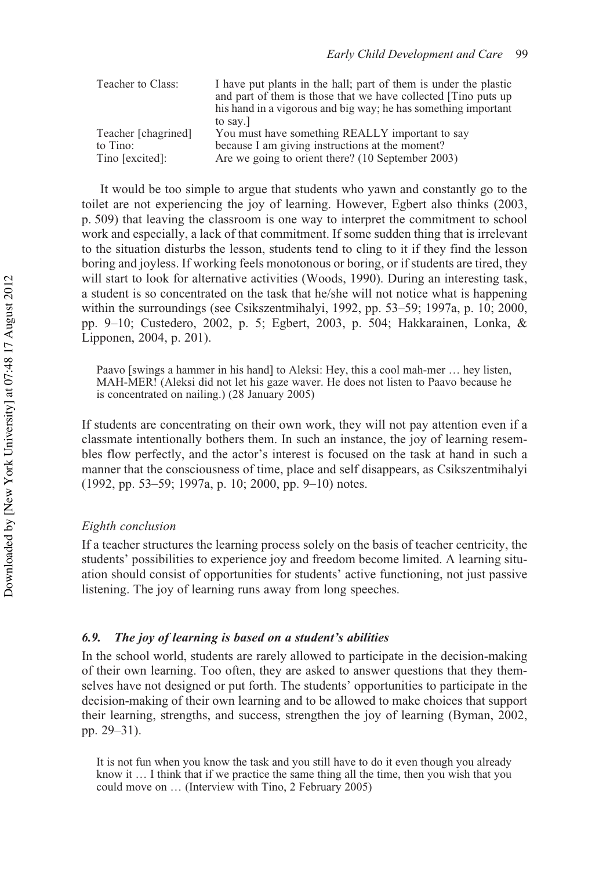| Teacher to Class:   | I have put plants in the hall; part of them is under the plastic |
|---------------------|------------------------------------------------------------------|
|                     | and part of them is those that we have collected [Tino puts up   |
|                     | his hand in a vigorous and big way; he has something important   |
|                     | to say.                                                          |
| Teacher [chagrined] | You must have something REALLY important to say                  |
| to Tino:            | because I am giving instructions at the moment?                  |
| Tino [excited]:     | Are we going to orient there? (10 September 2003)                |

It would be too simple to argue that students who yawn and constantly go to the toilet are not experiencing the joy of learning. However, Egbert also thinks (2003, p. 509) that leaving the classroom is one way to interpret the commitment to school work and especially, a lack of that commitment. If some sudden thing that is irrelevant to the situation disturbs the lesson, students tend to cling to it if they find the lesson boring and joyless. If working feels monotonous or boring, or if students are tired, they will start to look for alternative activities (Woods, 1990). During an interesting task, a student is so concentrated on the task that he/she will not notice what is happening within the surroundings (see Csikszentmihalyi, 1992, pp. 53–59; 1997a, p. 10; 2000, pp. 9–10; Custedero, 2002, p. 5; Egbert, 2003, p. 504; Hakkarainen, Lonka, & Lipponen, 2004, p. 201).

Paavo [swings a hammer in his hand] to Aleksi: Hey, this a cool mah-mer … hey listen, MAH-MER! (Aleksi did not let his gaze waver. He does not listen to Paavo because he is concentrated on nailing.) (28 January 2005)

If students are concentrating on their own work, they will not pay attention even if a classmate intentionally bothers them. In such an instance, the joy of learning resembles flow perfectly, and the actor's interest is focused on the task at hand in such a manner that the consciousness of time, place and self disappears, as Csikszentmihalyi (1992, pp. 53–59; 1997a, p. 10; 2000, pp. 9–10) notes.

# *Eighth conclusion*

If a teacher structures the learning process solely on the basis of teacher centricity, the students' possibilities to experience joy and freedom become limited. A learning situation should consist of opportunities for students' active functioning, not just passive listening. The joy of learning runs away from long speeches.

# *6.9. The joy of learning is based on a student's abilities*

In the school world, students are rarely allowed to participate in the decision-making of their own learning. Too often, they are asked to answer questions that they themselves have not designed or put forth. The students' opportunities to participate in the decision-making of their own learning and to be allowed to make choices that support their learning, strengths, and success, strengthen the joy of learning (Byman, 2002, pp. 29–31).

It is not fun when you know the task and you still have to do it even though you already know it … I think that if we practice the same thing all the time, then you wish that you could move on … (Interview with Tino, 2 February 2005)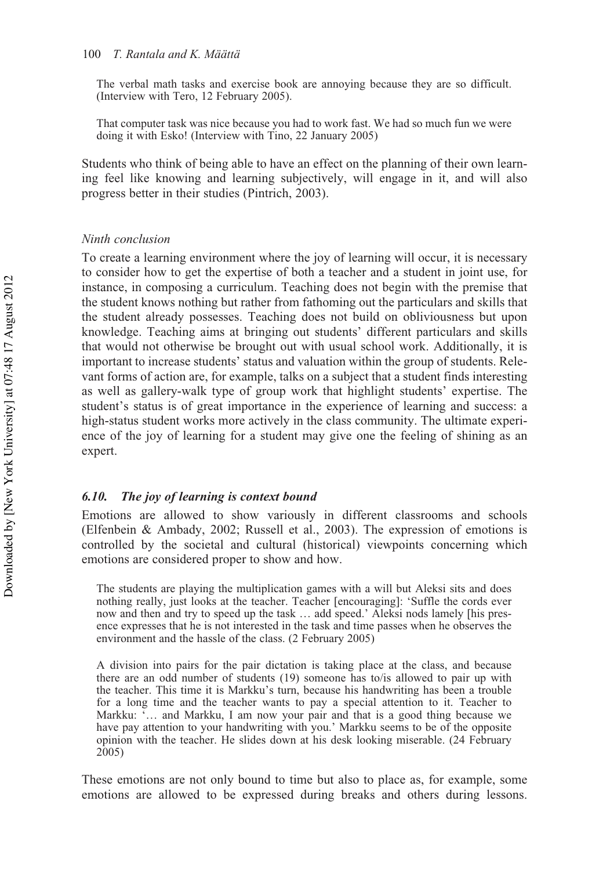The verbal math tasks and exercise book are annoying because they are so difficult. (Interview with Tero, 12 February 2005).

That computer task was nice because you had to work fast. We had so much fun we were doing it with Esko! (Interview with Tino, 22 January 2005)

Students who think of being able to have an effect on the planning of their own learning feel like knowing and learning subjectively, will engage in it, and will also progress better in their studies (Pintrich, 2003).

### *Ninth conclusion*

To create a learning environment where the joy of learning will occur, it is necessary to consider how to get the expertise of both a teacher and a student in joint use, for instance, in composing a curriculum. Teaching does not begin with the premise that the student knows nothing but rather from fathoming out the particulars and skills that the student already possesses. Teaching does not build on obliviousness but upon knowledge. Teaching aims at bringing out students' different particulars and skills that would not otherwise be brought out with usual school work. Additionally, it is important to increase students' status and valuation within the group of students. Relevant forms of action are, for example, talks on a subject that a student finds interesting as well as gallery-walk type of group work that highlight students' expertise. The student's status is of great importance in the experience of learning and success: a high-status student works more actively in the class community. The ultimate experience of the joy of learning for a student may give one the feeling of shining as an expert.

#### *6.10. The joy of learning is context bound*

Emotions are allowed to show variously in different classrooms and schools (Elfenbein & Ambady, 2002; Russell et al., 2003). The expression of emotions is controlled by the societal and cultural (historical) viewpoints concerning which emotions are considered proper to show and how.

The students are playing the multiplication games with a will but Aleksi sits and does nothing really, just looks at the teacher. Teacher [encouraging]: 'Suffle the cords ever now and then and try to speed up the task … add speed.' Aleksi nods lamely [his presence expresses that he is not interested in the task and time passes when he observes the environment and the hassle of the class. (2 February 2005)

A division into pairs for the pair dictation is taking place at the class, and because there are an odd number of students (19) someone has to/is allowed to pair up with the teacher. This time it is Markku's turn, because his handwriting has been a trouble for a long time and the teacher wants to pay a special attention to it. Teacher to Markku: '… and Markku, I am now your pair and that is a good thing because we have pay attention to your handwriting with you.' Markku seems to be of the opposite opinion with the teacher. He slides down at his desk looking miserable. (24 February 2005)

These emotions are not only bound to time but also to place as, for example, some emotions are allowed to be expressed during breaks and others during lessons.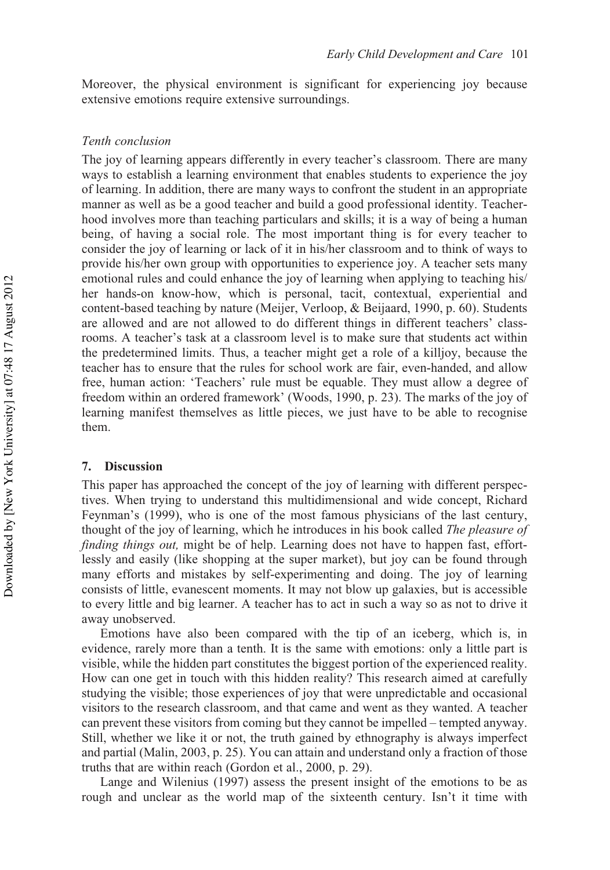Moreover, the physical environment is significant for experiencing joy because extensive emotions require extensive surroundings.

#### *Tenth conclusion*

The joy of learning appears differently in every teacher's classroom. There are many ways to establish a learning environment that enables students to experience the joy of learning. In addition, there are many ways to confront the student in an appropriate manner as well as be a good teacher and build a good professional identity. Teacherhood involves more than teaching particulars and skills; it is a way of being a human being, of having a social role. The most important thing is for every teacher to consider the joy of learning or lack of it in his/her classroom and to think of ways to provide his/her own group with opportunities to experience joy. A teacher sets many emotional rules and could enhance the joy of learning when applying to teaching his/ her hands-on know-how, which is personal, tacit, contextual, experiential and content-based teaching by nature (Meijer, Verloop, & Beijaard, 1990, p. 60). Students are allowed and are not allowed to do different things in different teachers' classrooms. A teacher's task at a classroom level is to make sure that students act within the predetermined limits. Thus, a teacher might get a role of a killjoy, because the teacher has to ensure that the rules for school work are fair, even-handed, and allow free, human action: 'Teachers' rule must be equable. They must allow a degree of freedom within an ordered framework' (Woods, 1990, p. 23). The marks of the joy of learning manifest themselves as little pieces, we just have to be able to recognise them.

#### **7. Discussion**

This paper has approached the concept of the joy of learning with different perspectives. When trying to understand this multidimensional and wide concept, Richard Feynman's (1999), who is one of the most famous physicians of the last century, thought of the joy of learning, which he introduces in his book called *The pleasure of finding things out,* might be of help. Learning does not have to happen fast, effortlessly and easily (like shopping at the super market), but joy can be found through many efforts and mistakes by self-experimenting and doing. The joy of learning consists of little, evanescent moments. It may not blow up galaxies, but is accessible to every little and big learner. A teacher has to act in such a way so as not to drive it away unobserved.

Emotions have also been compared with the tip of an iceberg, which is, in evidence, rarely more than a tenth. It is the same with emotions: only a little part is visible, while the hidden part constitutes the biggest portion of the experienced reality. How can one get in touch with this hidden reality? This research aimed at carefully studying the visible; those experiences of joy that were unpredictable and occasional visitors to the research classroom, and that came and went as they wanted. A teacher can prevent these visitors from coming but they cannot be impelled – tempted anyway. Still, whether we like it or not, the truth gained by ethnography is always imperfect and partial (Malin, 2003, p. 25). You can attain and understand only a fraction of those truths that are within reach (Gordon et al., 2000, p. 29).

Lange and Wilenius (1997) assess the present insight of the emotions to be as rough and unclear as the world map of the sixteenth century. Isn't it time with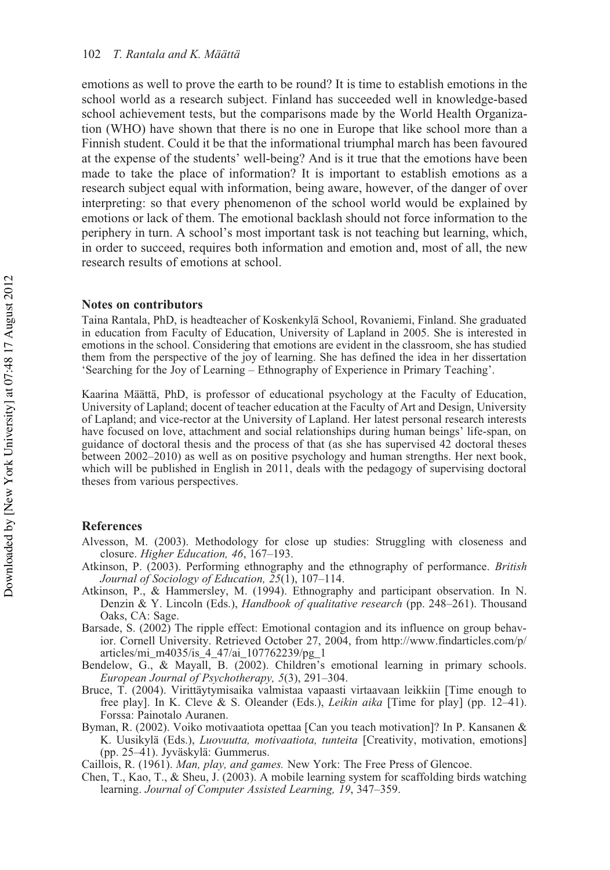emotions as well to prove the earth to be round? It is time to establish emotions in the school world as a research subject. Finland has succeeded well in knowledge-based school achievement tests, but the comparisons made by the World Health Organization (WHO) have shown that there is no one in Europe that like school more than a Finnish student. Could it be that the informational triumphal march has been favoured at the expense of the students' well-being? And is it true that the emotions have been made to take the place of information? It is important to establish emotions as a research subject equal with information, being aware, however, of the danger of over interpreting: so that every phenomenon of the school world would be explained by emotions or lack of them. The emotional backlash should not force information to the periphery in turn. A school's most important task is not teaching but learning, which, in order to succeed, requires both information and emotion and, most of all, the new research results of emotions at school.

#### **Notes on contributors**

Taina Rantala, PhD, is headteacher of Koskenkylä School, Rovaniemi, Finland. She graduated in education from Faculty of Education, University of Lapland in 2005. She is interested in emotions in the school. Considering that emotions are evident in the classroom, she has studied them from the perspective of the joy of learning. She has defined the idea in her dissertation 'Searching for the Joy of Learning – Ethnography of Experience in Primary Teaching'.

Kaarina Määttä, PhD, is professor of educational psychology at the Faculty of Education, University of Lapland; docent of teacher education at the Faculty of Art and Design, University of Lapland; and vice-rector at the University of Lapland. Her latest personal research interests have focused on love, attachment and social relationships during human beings' life-span, on guidance of doctoral thesis and the process of that (as she has supervised 42 doctoral theses between 2002–2010) as well as on positive psychology and human strengths. Her next book, which will be published in English in 2011, deals with the pedagogy of supervising doctoral theses from various perspectives.

#### **References**

- Alvesson, M. (2003). Methodology for close up studies: Struggling with closeness and closure. *Higher Education, 46*, 167–193.
- Atkinson, P. (2003). Performing ethnography and the ethnography of performance. *British Journal of Sociology of Education, 25*(1), 107–114.
- Atkinson, P., & Hammersley, M. (1994). Ethnography and participant observation. In N. Denzin & Y. Lincoln (Eds.), *Handbook of qualitative research* (pp. 248–261). Thousand Oaks, CA: Sage.
- Barsade, S. (2002) The ripple effect: Emotional contagion and its influence on group behavior. Cornell University. Retrieved October 27, 2004, from http://www.findarticles.com/p/ articles/mi\_m4035/is\_4\_47/ai\_107762239/pg\_1

Bendelow, G., & Mayall, B. (2002). Children's emotional learning in primary schools. *European Journal of Psychotherapy, 5*(3), 291–304.

- Bruce, T. (2004). Virittäytymisaika valmistaa vapaasti virtaavaan leikkiin [Time enough to free play]. In K. Cleve & S. Oleander (Eds.), *Leikin aika* [Time for play] (pp. 12–41). Forssa: Painotalo Auranen.
- Byman, R. (2002). Voiko motivaatiota opettaa [Can you teach motivation]? In P. Kansanen & K. Uusikylä (Eds.), *Luovuutta, motivaatiota, tunteita* [Creativity, motivation, emotions] (pp. 25–41). Jyväskylä: Gummerus.

Caillois, R. (1961). *Man, play, and games.* New York: The Free Press of Glencoe.

Chen, T., Kao, T., & Sheu, J. (2003). A mobile learning system for scaffolding birds watching learning. *Journal of Computer Assisted Learning, 19*, 347–359.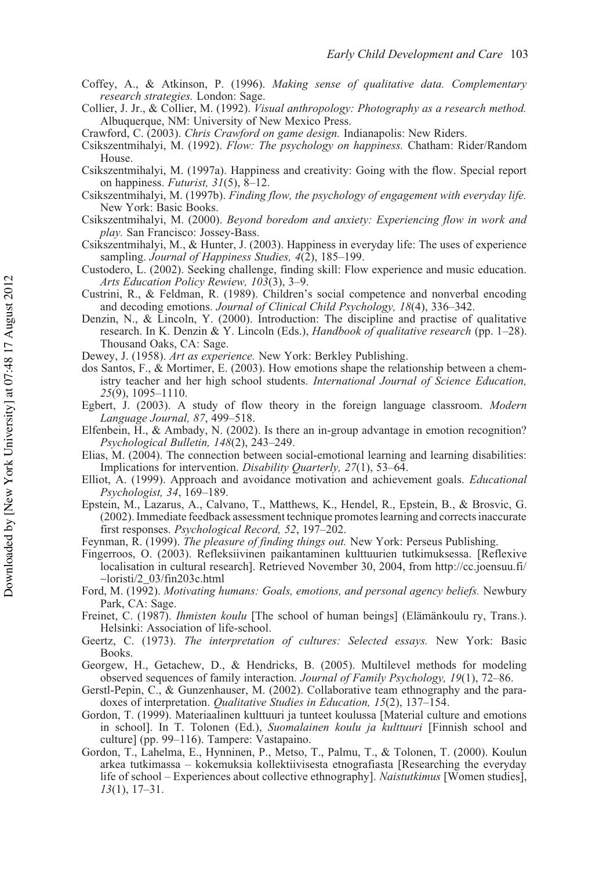- Coffey, A., & Atkinson, P. (1996). *Making sense of qualitative data. Complementary research strategies.* London: Sage.
- Collier, J. Jr., & Collier, M. (1992). *Visual anthropology: Photography as a research method.* Albuquerque, NM: University of New Mexico Press.
- Crawford, C. (2003). *Chris Crawford on game design.* Indianapolis: New Riders.
- Csikszentmihalyi, M. (1992). *Flow: The psychology on happiness.* Chatham: Rider/Random House.
- Csikszentmihalyi, M. (1997a). Happiness and creativity: Going with the flow. Special report on happiness. *Futurist, 31*(5), 8–12.
- Csikszentmihalyi, M. (1997b). *Finding flow, the psychology of engagement with everyday life.* New York: Basic Books.
- Csikszentmihalyi, M. (2000). *Beyond boredom and anxiety: Experiencing flow in work and play.* San Francisco: Jossey-Bass.
- Csikszentmihalyi, M., & Hunter, J. (2003). Happiness in everyday life: The uses of experience sampling. *Journal of Happiness Studies, 4*(2), 185–199.
- Custodero, L. (2002). Seeking challenge, finding skill: Flow experience and music education. *Arts Education Policy Rewiew, 103*(3), 3–9.
- Custrini, R., & Feldman, R. (1989). Children's social competence and nonverbal encoding and decoding emotions. *Journal of Clinical Child Psychology, 18*(4), 336–342.
- Denzin, N., & Lincoln, Y. (2000). Introduction: The discipline and practise of qualitative research. In K. Denzin & Y. Lincoln (Eds.), *Handbook of qualitative research* (pp. 1–28). Thousand Oaks, CA: Sage.
- Dewey, J. (1958). *Art as experience.* New York: Berkley Publishing.
- dos Santos, F., & Mortimer, E. (2003). How emotions shape the relationship between a chemistry teacher and her high school students. *International Journal of Science Education, 25*(9), 1095–1110.
- Egbert, J. (2003). A study of flow theory in the foreign language classroom. *Modern Language Journal, 87*, 499–518.
- Elfenbein, H., & Ambady, N. (2002). Is there an in-group advantage in emotion recognition? *Psychological Bulletin, 148*(2), 243–249.
- Elias, M. (2004). The connection between social-emotional learning and learning disabilities: Implications for intervention. *Disability Quarterly, 27*(1), 53–64.
- Elliot, A. (1999). Approach and avoidance motivation and achievement goals. *Educational Psychologist, 34*, 169–189.
- Epstein, M., Lazarus, A., Calvano, T., Matthews, K., Hendel, R., Epstein, B., & Brosvic, G. (2002). Immediate feedback assessment technique promotes learning and corrects inaccurate first responses. *Psychological Record, 52*, 197–202.
- Feynman, R. (1999). *The pleasure of finding things out.* New York: Perseus Publishing.
- Fingerroos, O. (2003). Refleksiivinen paikantaminen kulttuurien tutkimuksessa. [Reflexive localisation in cultural research]. Retrieved November 30, 2004, from http://cc.joensuu.fi/ ∼loristi/2\_03/fin203c.html
- Ford, M. (1992). *Motivating humans: Goals, emotions, and personal agency beliefs.* Newbury Park, CA: Sage.
- Freinet, C. (1987). *Ihmisten koulu* [The school of human beings] (Elämänkoulu ry, Trans.). Helsinki: Association of life-school.
- Geertz, C. (1973). *The interpretation of cultures: Selected essays.* New York: Basic Books.
- Georgew, H., Getachew, D., & Hendricks, B. (2005). Multilevel methods for modeling observed sequences of family interaction. *Journal of Family Psychology, 19*(1), 72–86.
- Gerstl-Pepin, C., & Gunzenhauser, M. (2002). Collaborative team ethnography and the paradoxes of interpretation. *Qualitative Studies in Education, 15*(2), 137–154.
- Gordon, T. (1999). Materiaalinen kulttuuri ja tunteet koulussa [Material culture and emotions in school]. In T. Tolonen (Ed.), *Suomalainen koulu ja kulttuuri* [Finnish school and culture] (pp. 99–116). Tampere: Vastapaino.
- Gordon, T., Lahelma, E., Hynninen, P., Metso, T., Palmu, T., & Tolonen, T. (2000). Koulun arkea tutkimassa – kokemuksia kollektiivisesta etnografiasta [Researching the everyday life of school – Experiences about collective ethnography]. *Naistutkimus* [Women studies], *13*(1), 17–31.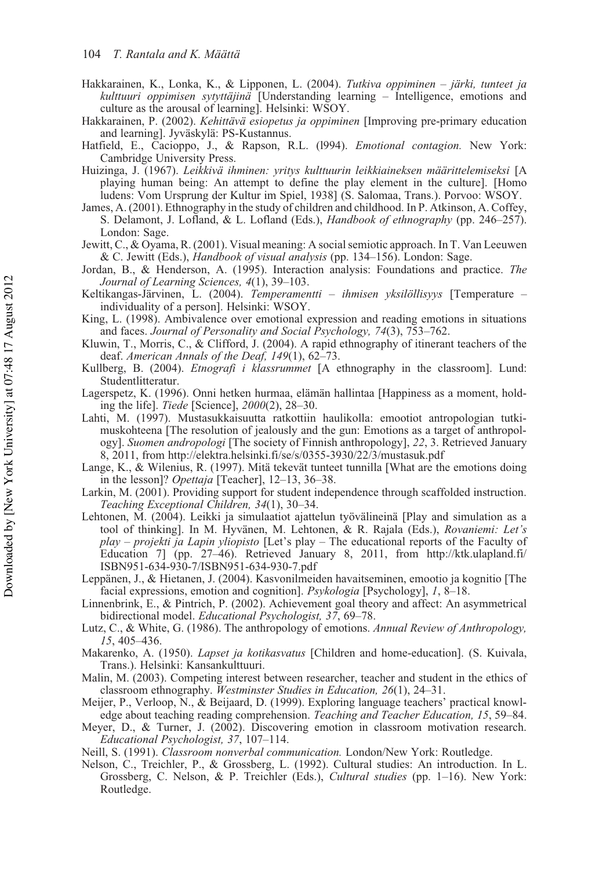- Hakkarainen, K., Lonka, K., & Lipponen, L. (2004). *Tutkiva oppiminen järki, tunteet ja kulttuuri oppimisen sytyttäjinä* [Understanding learning – Intelligence, emotions and culture as the arousal of learning]. Helsinki: WSOY.
- Hakkarainen, P. (2002). *Kehittävä esiopetus ja oppiminen* [Improving pre-primary education and learning]. Jyväskylä: PS-Kustannus.
- Hatfield, E., Cacioppo, J., & Rapson, R.L. (l994). *Emotional contagion.* New York: Cambridge University Press.
- Huizinga, J. (1967). *Leikkivä ihminen: yritys kulttuurin leikkiaineksen määrittelemiseksi* [A playing human being: An attempt to define the play element in the culture]. [Homo ludens: Vom Ursprung der Kultur im Spiel, 1938] (S. Salomaa, Trans.). Porvoo: WSOY.
- James, A. (2001). Ethnography in the study of children and childhood. In P. Atkinson, A. Coffey, S. Delamont, J. Lofland, & L. Lofland (Eds.), *Handbook of ethnography* (pp. 246–257). London: Sage.
- Jewitt, C., & Oyama, R. (2001). Visual meaning: A social semiotic approach. In T. Van Leeuwen & C. Jewitt (Eds.), *Handbook of visual analysis* (pp. 134–156). London: Sage.
- Jordan, B., & Henderson, A. (1995). Interaction analysis: Foundations and practice. *The Journal of Learning Sciences, 4*(1), 39–103.
- Keltikangas-Järvinen, L. (2004). *Temperamentti ihmisen yksilöllisyys* [Temperature individuality of a person]. Helsinki: WSOY.
- King, L. (1998). Ambivalence over emotional expression and reading emotions in situations and faces. *Journal of Personality and Social Psychology, 74*(3), 753–762.
- Kluwin, T., Morris, C., & Clifford, J. (2004). A rapid ethnography of itinerant teachers of the deaf. *American Annals of the Deaf, 149*(1), 62–73.
- Kullberg, B. (2004). *Etnografi i klassrummet* [A ethnography in the classroom]. Lund: Studentlitteratur.
- Lagerspetz, K. (1996). Onni hetken hurmaa, elämän hallintaa [Happiness as a moment, holding the life]. *Tiede* [Science], *2000*(2), 28–30.
- Lahti, M. (1997). Mustasukkaisuutta ratkottiin haulikolla: emootiot antropologian tutkimuskohteena [The resolution of jealously and the gun: Emotions as a target of anthropology]. *Suomen andropologi* [The society of Finnish anthropology], *22*, 3. Retrieved January 8, 2011, from http://elektra.helsinki.fi/se/s/0355-3930/22/3/mustasuk.pdf
- Lange, K., & Wilenius, R. (1997). Mitä tekevät tunteet tunnilla [What are the emotions doing in the lesson]? *Opettaja* [Teacher], 12–13, 36–38.
- Larkin, M. (2001). Providing support for student independence through scaffolded instruction. *Teaching Exceptional Children, 34*(1), 30–34.
- Lehtonen, M. (2004). Leikki ja simulaatiot ajattelun työvälineinä [Play and simulation as a tool of thinking]. In M. Hyvänen, M. Lehtonen, & R. Rajala (Eds.), *Rovaniemi: Let's play – projekti ja Lapin yliopisto* [Let's play – The educational reports of the Faculty of Education 7] (pp. 27–46). Retrieved January 8, 2011, from http://ktk.ulapland.fi/ ISBN951-634-930-7/ISBN951-634-930-7.pdf
- Leppänen, J., & Hietanen, J. (2004). Kasvonilmeiden havaitseminen, emootio ja kognitio [The facial expressions, emotion and cognition]. *Psykologia* [Psychology], *1*, 8–18.
- Linnenbrink, E., & Pintrich, P. (2002). Achievement goal theory and affect: An asymmetrical bidirectional model. *Educational Psychologist, 37*, 69–78.
- Lutz, C., & White, G. (1986). The anthropology of emotions. *Annual Review of Anthropology, 15*, 405–436.
- Makarenko, A. (1950). *Lapset ja kotikasvatus* [Children and home-education]. (S. Kuivala, Trans.). Helsinki: Kansankulttuuri.
- Malin, M. (2003). Competing interest between researcher, teacher and student in the ethics of classroom ethnography. *Westminster Studies in Education, 26*(1), 24–31.
- Meijer, P., Verloop, N., & Beijaard, D. (1999). Exploring language teachers' practical knowledge about teaching reading comprehension. *Teaching and Teacher Education, 15*, 59–84.
- Meyer, D., & Turner, J. (2002). Discovering emotion in classroom motivation research. *Educational Psychologist, 37*, 107–114.
- Neill, S. (1991). *Classroom nonverbal communication.* London/New York: Routledge.
- Nelson, C., Treichler, P., & Grossberg, L. (1992). Cultural studies: An introduction. In L. Grossberg, C. Nelson, & P. Treichler (Eds.), *Cultural studies* (pp. 1–16). New York: Routledge.